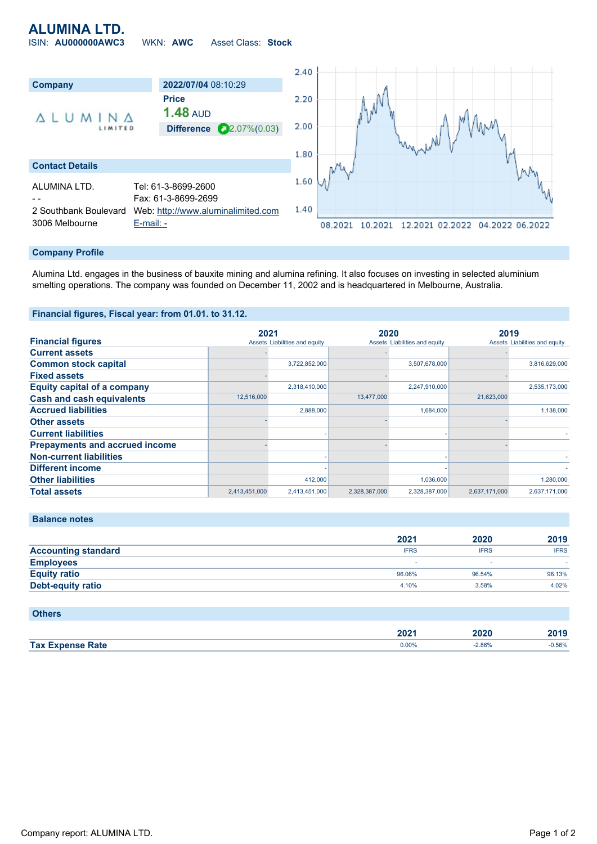## **ALUMINA LTD.**

ISIN: **AU000000AWC3** WKN: **AWC** Asset Class: **Stock**



#### **Company Profile**

Alumina Ltd. engages in the business of bauxite mining and alumina refining. It also focuses on investing in selected aluminium smelting operations. The company was founded on December 11, 2002 and is headquartered in Melbourne, Australia.

### **Financial figures, Fiscal year: from 01.01. to 31.12.**

|                                       | 2021          |                               | 2020          |                               | 2019          |                               |
|---------------------------------------|---------------|-------------------------------|---------------|-------------------------------|---------------|-------------------------------|
| <b>Financial figures</b>              |               | Assets Liabilities and equity |               | Assets Liabilities and equity |               | Assets Liabilities and equity |
| <b>Current assets</b>                 |               |                               |               |                               |               |                               |
| <b>Common stock capital</b>           |               | 3,722,852,000                 |               | 3,507,678,000                 |               | 3,816,629,000                 |
| <b>Fixed assets</b>                   |               |                               |               |                               |               |                               |
| <b>Equity capital of a company</b>    |               | 2,318,410,000                 |               | 2,247,910,000                 |               | 2,535,173,000                 |
| <b>Cash and cash equivalents</b>      | 12,516,000    |                               | 13,477,000    |                               | 21,623,000    |                               |
| <b>Accrued liabilities</b>            |               | 2,888,000                     |               | 1,684,000                     |               | 1,138,000                     |
| <b>Other assets</b>                   |               |                               |               |                               |               |                               |
| <b>Current liabilities</b>            |               |                               |               |                               |               |                               |
| <b>Prepayments and accrued income</b> |               |                               |               |                               |               |                               |
| <b>Non-current liabilities</b>        |               |                               |               |                               |               |                               |
| <b>Different income</b>               |               |                               |               |                               |               |                               |
| <b>Other liabilities</b>              |               | 412,000                       |               | 1,036,000                     |               | 1,280,000                     |
| <b>Total assets</b>                   | 2,413,451,000 | 2,413,451,000                 | 2,328,387,000 | 2,328,387,000                 | 2,637,171,000 | 2,637,171,000                 |

### **Balance notes**

|                            | 2021        | 2020        | 2019        |
|----------------------------|-------------|-------------|-------------|
| <b>Accounting standard</b> | <b>IFRS</b> | <b>IFRS</b> | <b>IFRS</b> |
| <b>Employees</b>           |             |             |             |
| <b>Equity ratio</b>        | 96.06%      | 96.54%      | 96.13%      |
| <b>Debt-equity ratio</b>   | 4.10%       | 3.58%       | 4.02%       |
|                            |             |             |             |

| <b>Others</b>           |       |          |          |
|-------------------------|-------|----------|----------|
|                         | 2021  | 2020     | 2019     |
| <b>Tax Expense Rate</b> | 0.00% | $-2.86%$ | $-0.56%$ |